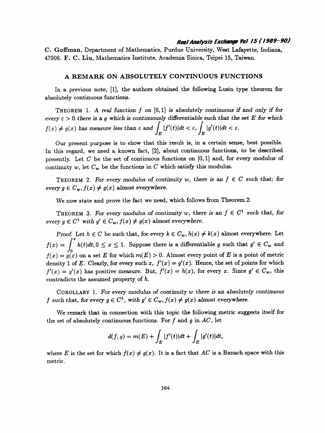## Real Analysis Exchange Vol 15 ( / 909-90)

 C. Goffman, Department of Mathematics, Purdue University, West Lafayette, Indiana, 47906. F. C. Liu, Mathematics Institute, Academia Sinica, Teipei 15, Taiwan.

## A REMARK ON ABSOLUTELY CONTINUOUS FUNCTIONS

 In a previous note, [1], the authors obtained the following Lusin type theorem for absolutely continuous functions.

THEOREM 1. A real function  $f$  on  $[0,1]$  is absolutely continuous if and only if for every  $\epsilon > 0$  there is a g which is continuously differentiable such that the set E for which  $f(x) \neq g(x)$  has measure less than  $\varepsilon$  and  $\int_{E} |f'(t)|dt < \varepsilon$ ,  $\int_{E} |g'(t)|dt < \varepsilon$ .

 Our present purpose is to show that this result is, in a certain sense, best possible. In this regard, we need a known fact, [2], about continuous functions, to be described presently. Let C be the set of continuous functions on  $[0,1]$  and, for every modulus of continuity w, let  $C_w$  be the functions in C which satisfy this modulus.

THEOREM 2. For every modulus of continuity w, there is an  $f \in C$  such that; for THEOREM 2. For every modulus of continuity w, there is an  $f \in C$  such that; for<br>every  $g \in C_w$ ,  $f(x) \neq g(x)$  almost everywhere.

We now state and prove the fact we need, which follows from Theorem 2.

THEOREM 3. For every modulus of continuity w, there is an  $f \in C^1$  such that, for every  $g \in C^1$  with  $g' \in C_w$ ,  $f(x) \neq g(x)$  almost everywhere.

Proof. Let  $h \in C$  be such that, for every  $k \in C_w$ ,  $h(x) \neq k(x)$  almost everywhere. Let  $f(x) = \int_0^x h(t)dt, 0 \le x \le 1$ . Suppose there is a differentiable g such that  $g' \in C_w$  and Jo  $f(x) = g(x)$  on a set E for which  $m(D) > 0$ . Almost every point of E density 1 of E. Clearly, for every such x,  $f'(x) = g'(x)$ . Hence, the set of points for which  $f'(x) = g'(x)$  has positive measure. But,  $f'(x) = h(x)$ , for every x. Since  $g' \in C_w$ , this contradicts the assumed property of h.

COROLLARY 1. For every modulus of continuity  $w$  there is an absolutely continuous f such that, for every  $g \in C^1$ , with  $g' \in C_w$ ,  $f(x) \neq g(x)$  almost everywhere.

 We remark that in connection with this topic the following metric suggests itself for the set of absolutely continuous functions. For  $f$  and  $g$  in  $AC$ , let

$$
d(f,g) = m(E) + \int_E |f'(t)|dt + \int_E |g'(t)|dt,
$$

where E is the set for which  $f(x) \neq g(x)$ . It is a fact that AC is a Banach space with this where *E* is the set io<br>metric.